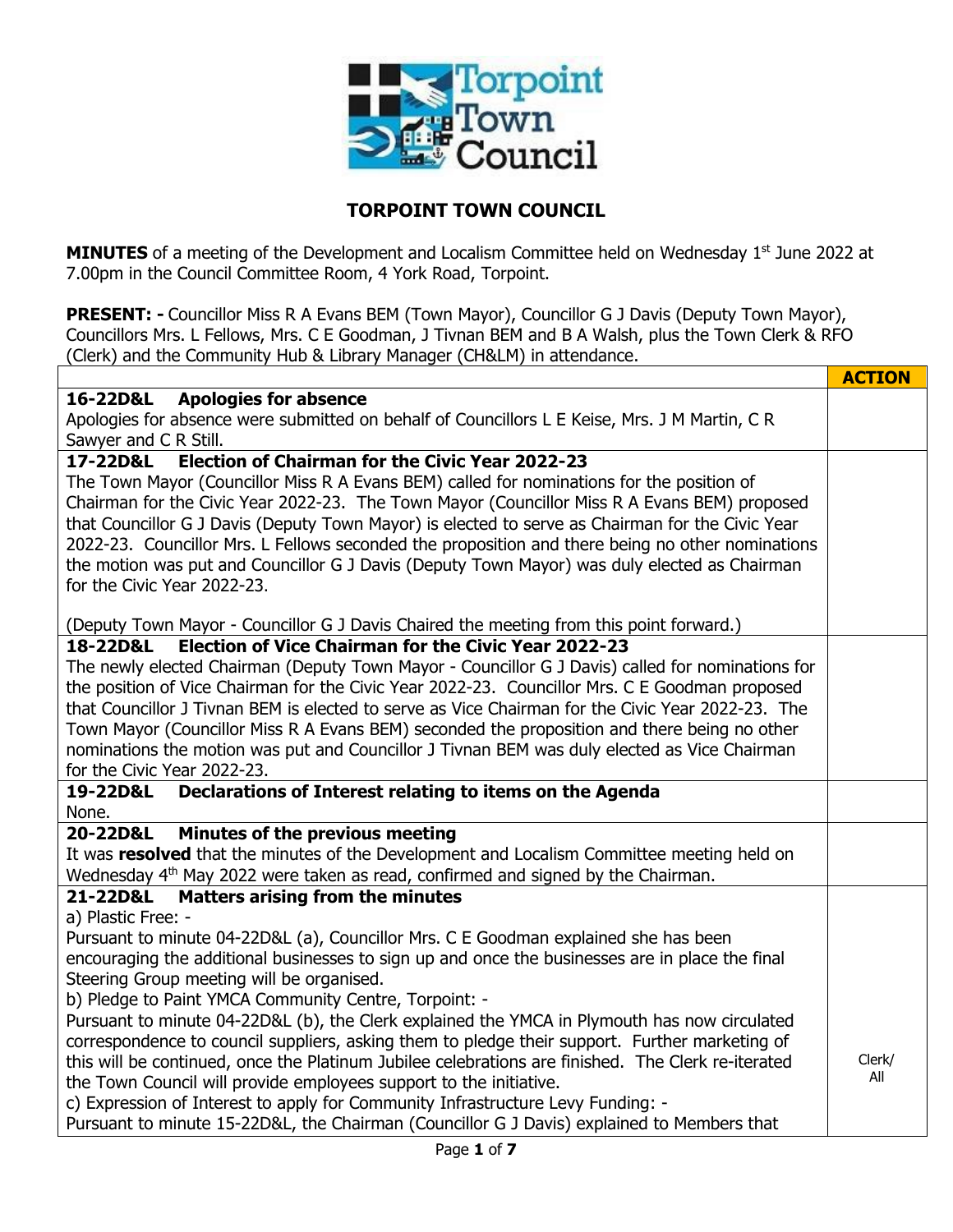

## **TORPOINT TOWN COUNCIL**

**MINUTES** of a meeting of the Development and Localism Committee held on Wednesday 1<sup>st</sup> June 2022 at 7.00pm in the Council Committee Room, 4 York Road, Torpoint.

**PRESENT: -** Councillor Miss R A Evans BEM (Town Mayor), Councillor G J Davis (Deputy Town Mayor), Councillors Mrs. L Fellows, Mrs. C E Goodman, J Tivnan BEM and B A Walsh, plus the Town Clerk & RFO (Clerk) and the Community Hub & Library Manager (CH&LM) in attendance.

|                                                                                                    | <b>ACTION</b> |  |  |  |  |  |
|----------------------------------------------------------------------------------------------------|---------------|--|--|--|--|--|
| 16-22D&L<br><b>Apologies for absence</b>                                                           |               |  |  |  |  |  |
| Apologies for absence were submitted on behalf of Councillors L E Keise, Mrs. J M Martin, C R      |               |  |  |  |  |  |
| Sawyer and C R Still.                                                                              |               |  |  |  |  |  |
| <b>Election of Chairman for the Civic Year 2022-23</b><br>17-22D&L                                 |               |  |  |  |  |  |
| The Town Mayor (Councillor Miss R A Evans BEM) called for nominations for the position of          |               |  |  |  |  |  |
| Chairman for the Civic Year 2022-23. The Town Mayor (Councillor Miss R A Evans BEM) proposed       |               |  |  |  |  |  |
| that Councillor G J Davis (Deputy Town Mayor) is elected to serve as Chairman for the Civic Year   |               |  |  |  |  |  |
| 2022-23. Councillor Mrs. L Fellows seconded the proposition and there being no other nominations   |               |  |  |  |  |  |
| the motion was put and Councillor G J Davis (Deputy Town Mayor) was duly elected as Chairman       |               |  |  |  |  |  |
| for the Civic Year 2022-23.                                                                        |               |  |  |  |  |  |
|                                                                                                    |               |  |  |  |  |  |
| (Deputy Town Mayor - Councillor G J Davis Chaired the meeting from this point forward.)            |               |  |  |  |  |  |
| <b>Election of Vice Chairman for the Civic Year 2022-23</b><br>18-22D&L                            |               |  |  |  |  |  |
| The newly elected Chairman (Deputy Town Mayor - Councillor G J Davis) called for nominations for   |               |  |  |  |  |  |
| the position of Vice Chairman for the Civic Year 2022-23. Councillor Mrs. C E Goodman proposed     |               |  |  |  |  |  |
| that Councillor J Tivnan BEM is elected to serve as Vice Chairman for the Civic Year 2022-23. The  |               |  |  |  |  |  |
| Town Mayor (Councillor Miss R A Evans BEM) seconded the proposition and there being no other       |               |  |  |  |  |  |
| nominations the motion was put and Councillor J Tivnan BEM was duly elected as Vice Chairman       |               |  |  |  |  |  |
| for the Civic Year 2022-23.                                                                        |               |  |  |  |  |  |
| Declarations of Interest relating to items on the Agenda<br>19-22D&L<br>None.                      |               |  |  |  |  |  |
| Minutes of the previous meeting<br>20-22D&L                                                        |               |  |  |  |  |  |
| It was resolved that the minutes of the Development and Localism Committee meeting held on         |               |  |  |  |  |  |
| Wednesday 4 <sup>th</sup> May 2022 were taken as read, confirmed and signed by the Chairman.       |               |  |  |  |  |  |
| <b>Matters arising from the minutes</b><br>21-22D&L                                                |               |  |  |  |  |  |
| a) Plastic Free: -                                                                                 |               |  |  |  |  |  |
| Pursuant to minute 04-22D&L (a), Councillor Mrs. C E Goodman explained she has been                |               |  |  |  |  |  |
| encouraging the additional businesses to sign up and once the businesses are in place the final    |               |  |  |  |  |  |
| Steering Group meeting will be organised.                                                          |               |  |  |  |  |  |
| b) Pledge to Paint YMCA Community Centre, Torpoint: -                                              |               |  |  |  |  |  |
| Pursuant to minute 04-22D&L (b), the Clerk explained the YMCA in Plymouth has now circulated       |               |  |  |  |  |  |
| correspondence to council suppliers, asking them to pledge their support. Further marketing of     |               |  |  |  |  |  |
| this will be continued, once the Platinum Jubilee celebrations are finished. The Clerk re-iterated |               |  |  |  |  |  |
| the Town Council will provide employees support to the initiative.                                 |               |  |  |  |  |  |
| c) Expression of Interest to apply for Community Infrastructure Levy Funding: -                    |               |  |  |  |  |  |
| Pursuant to minute 15-22D&L, the Chairman (Councillor G J Davis) explained to Members that         |               |  |  |  |  |  |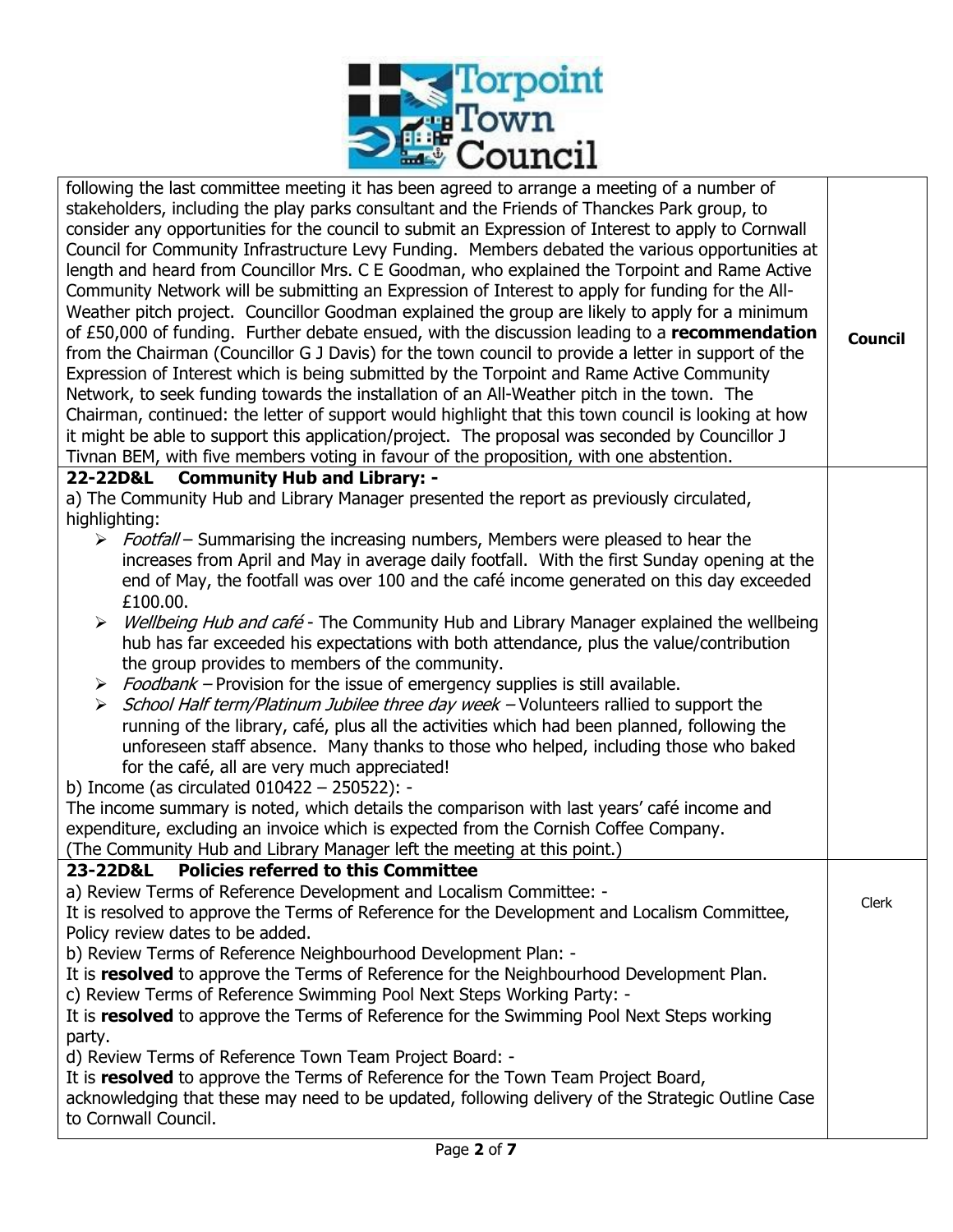

| following the last committee meeting it has been agreed to arrange a meeting of a number of<br>stakeholders, including the play parks consultant and the Friends of Thanckes Park group, to<br>consider any opportunities for the council to submit an Expression of Interest to apply to Cornwall<br>Council for Community Infrastructure Levy Funding. Members debated the various opportunities at<br>length and heard from Councillor Mrs. C E Goodman, who explained the Torpoint and Rame Active<br>Community Network will be submitting an Expression of Interest to apply for funding for the All-<br>Weather pitch project. Councillor Goodman explained the group are likely to apply for a minimum<br>of £50,000 of funding. Further debate ensued, with the discussion leading to a recommendation<br>from the Chairman (Councillor G J Davis) for the town council to provide a letter in support of the<br>Expression of Interest which is being submitted by the Torpoint and Rame Active Community<br>Network, to seek funding towards the installation of an All-Weather pitch in the town. The<br>Chairman, continued: the letter of support would highlight that this town council is looking at how<br>it might be able to support this application/project. The proposal was seconded by Councillor J<br>Tivnan BEM, with five members voting in favour of the proposition, with one abstention. | <b>Council</b> |
|-----------------------------------------------------------------------------------------------------------------------------------------------------------------------------------------------------------------------------------------------------------------------------------------------------------------------------------------------------------------------------------------------------------------------------------------------------------------------------------------------------------------------------------------------------------------------------------------------------------------------------------------------------------------------------------------------------------------------------------------------------------------------------------------------------------------------------------------------------------------------------------------------------------------------------------------------------------------------------------------------------------------------------------------------------------------------------------------------------------------------------------------------------------------------------------------------------------------------------------------------------------------------------------------------------------------------------------------------------------------------------------------------------------------------|----------------|
| 22-22D&L Community Hub and Library: -                                                                                                                                                                                                                                                                                                                                                                                                                                                                                                                                                                                                                                                                                                                                                                                                                                                                                                                                                                                                                                                                                                                                                                                                                                                                                                                                                                                 |                |
| a) The Community Hub and Library Manager presented the report as previously circulated,<br>highlighting:<br>> Footfall – Summarising the increasing numbers, Members were pleased to hear the<br>increases from April and May in average daily footfall. With the first Sunday opening at the<br>end of May, the footfall was over 100 and the café income generated on this day exceeded<br>£100.00.<br>Wellbeing Hub and café - The Community Hub and Library Manager explained the wellbeing<br>➤<br>hub has far exceeded his expectations with both attendance, plus the value/contribution<br>the group provides to members of the community.<br>$\triangleright$ Foodbank – Provision for the issue of emergency supplies is still available.<br>> School Half term/Platinum Jubilee three day week - Volunteers rallied to support the<br>running of the library, café, plus all the activities which had been planned, following the<br>unforeseen staff absence. Many thanks to those who helped, including those who baked<br>for the café, all are very much appreciated!<br>b) Income (as circulated 010422 - 250522): -<br>The income summary is noted, which details the comparison with last years' café income and<br>expenditure, excluding an invoice which is expected from the Cornish Coffee Company.<br>(The Community Hub and Library Manager left the meeting at this point.)                 |                |
| 23-22D&L Policies referred to this Committee                                                                                                                                                                                                                                                                                                                                                                                                                                                                                                                                                                                                                                                                                                                                                                                                                                                                                                                                                                                                                                                                                                                                                                                                                                                                                                                                                                          |                |
| a) Review Terms of Reference Development and Localism Committee: -<br>It is resolved to approve the Terms of Reference for the Development and Localism Committee,<br>Policy review dates to be added.<br>b) Review Terms of Reference Neighbourhood Development Plan: -<br>It is resolved to approve the Terms of Reference for the Neighbourhood Development Plan.<br>c) Review Terms of Reference Swimming Pool Next Steps Working Party: -<br>It is resolved to approve the Terms of Reference for the Swimming Pool Next Steps working<br>party.<br>d) Review Terms of Reference Town Team Project Board: -                                                                                                                                                                                                                                                                                                                                                                                                                                                                                                                                                                                                                                                                                                                                                                                                      | Clerk          |
| It is resolved to approve the Terms of Reference for the Town Team Project Board,<br>acknowledging that these may need to be updated, following delivery of the Strategic Outline Case<br>to Cornwall Council.                                                                                                                                                                                                                                                                                                                                                                                                                                                                                                                                                                                                                                                                                                                                                                                                                                                                                                                                                                                                                                                                                                                                                                                                        |                |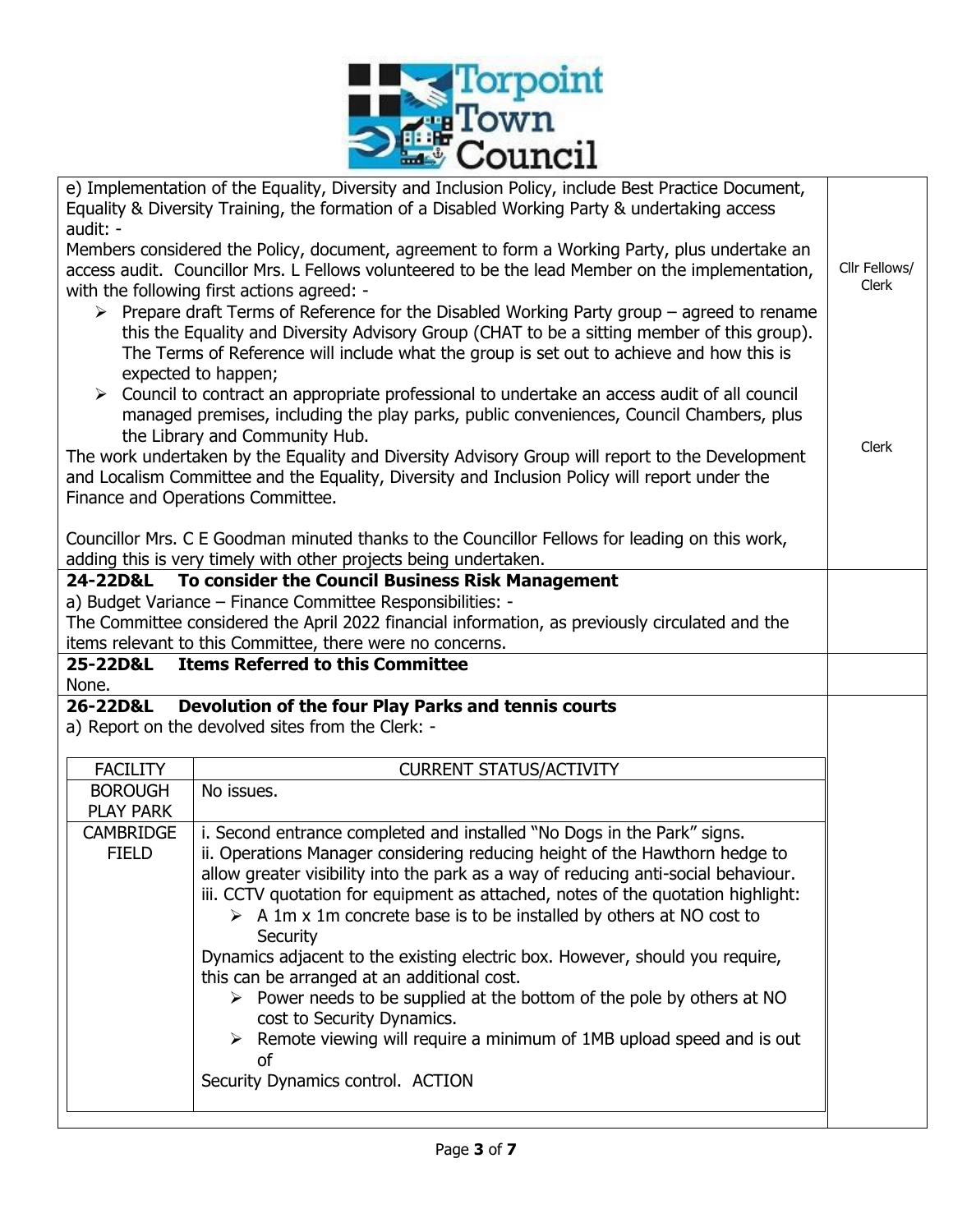

| e) Implementation of the Equality, Diversity and Inclusion Policy, include Best Practice Document,<br>Equality & Diversity Training, the formation of a Disabled Working Party & undertaking access<br>audit: -                                                                                                             |                                                                                                                                                                        |  |  |  |  |  |  |
|-----------------------------------------------------------------------------------------------------------------------------------------------------------------------------------------------------------------------------------------------------------------------------------------------------------------------------|------------------------------------------------------------------------------------------------------------------------------------------------------------------------|--|--|--|--|--|--|
| Members considered the Policy, document, agreement to form a Working Party, plus undertake an<br>Cllr Fellows/<br>access audit. Councillor Mrs. L Fellows volunteered to be the lead Member on the implementation,<br>with the following first actions agreed: -                                                            |                                                                                                                                                                        |  |  |  |  |  |  |
| $\triangleright$ Prepare draft Terms of Reference for the Disabled Working Party group – agreed to rename<br>this the Equality and Diversity Advisory Group (CHAT to be a sitting member of this group).<br>The Terms of Reference will include what the group is set out to achieve and how this is<br>expected to happen; |                                                                                                                                                                        |  |  |  |  |  |  |
| $\triangleright$ Council to contract an appropriate professional to undertake an access audit of all council<br>managed premises, including the play parks, public conveniences, Council Chambers, plus<br>the Library and Community Hub.                                                                                   |                                                                                                                                                                        |  |  |  |  |  |  |
| The work undertaken by the Equality and Diversity Advisory Group will report to the Development<br>and Localism Committee and the Equality, Diversity and Inclusion Policy will report under the<br>Finance and Operations Committee.                                                                                       |                                                                                                                                                                        |  |  |  |  |  |  |
|                                                                                                                                                                                                                                                                                                                             | Councillor Mrs. C E Goodman minuted thanks to the Councillor Fellows for leading on this work,<br>adding this is very timely with other projects being undertaken.     |  |  |  |  |  |  |
| 24-22D&L                                                                                                                                                                                                                                                                                                                    | To consider the Council Business Risk Management                                                                                                                       |  |  |  |  |  |  |
|                                                                                                                                                                                                                                                                                                                             | a) Budget Variance - Finance Committee Responsibilities: -                                                                                                             |  |  |  |  |  |  |
|                                                                                                                                                                                                                                                                                                                             | The Committee considered the April 2022 financial information, as previously circulated and the                                                                        |  |  |  |  |  |  |
| 25-22D&L                                                                                                                                                                                                                                                                                                                    | items relevant to this Committee, there were no concerns.<br><b>Items Referred to this Committee</b>                                                                   |  |  |  |  |  |  |
| None.                                                                                                                                                                                                                                                                                                                       |                                                                                                                                                                        |  |  |  |  |  |  |
| 26-22D&L                                                                                                                                                                                                                                                                                                                    | Devolution of the four Play Parks and tennis courts<br>a) Report on the devolved sites from the Clerk: -                                                               |  |  |  |  |  |  |
| <b>FACILITY</b>                                                                                                                                                                                                                                                                                                             | <b>CURRENT STATUS/ACTIVITY</b>                                                                                                                                         |  |  |  |  |  |  |
| <b>BOROUGH</b><br><b>PLAY PARK</b>                                                                                                                                                                                                                                                                                          | No issues.                                                                                                                                                             |  |  |  |  |  |  |
| <b>CAMBRIDGE</b>                                                                                                                                                                                                                                                                                                            | i. Second entrance completed and installed "No Dogs in the Park" signs.                                                                                                |  |  |  |  |  |  |
| <b>FIELD</b>                                                                                                                                                                                                                                                                                                                | ii. Operations Manager considering reducing height of the Hawthorn hedge to                                                                                            |  |  |  |  |  |  |
|                                                                                                                                                                                                                                                                                                                             | allow greater visibility into the park as a way of reducing anti-social behaviour.<br>iii. CCTV quotation for equipment as attached, notes of the quotation highlight: |  |  |  |  |  |  |
|                                                                                                                                                                                                                                                                                                                             | $\triangleright$ A 1m x 1m concrete base is to be installed by others at NO cost to<br>Security                                                                        |  |  |  |  |  |  |
|                                                                                                                                                                                                                                                                                                                             | Dynamics adjacent to the existing electric box. However, should you require,<br>this can be arranged at an additional cost.                                            |  |  |  |  |  |  |
|                                                                                                                                                                                                                                                                                                                             | $\triangleright$ Power needs to be supplied at the bottom of the pole by others at NO                                                                                  |  |  |  |  |  |  |
|                                                                                                                                                                                                                                                                                                                             | cost to Security Dynamics.<br>$\triangleright$ Remote viewing will require a minimum of 1MB upload speed and is out<br><sub>of</sub>                                   |  |  |  |  |  |  |
|                                                                                                                                                                                                                                                                                                                             | Security Dynamics control. ACTION                                                                                                                                      |  |  |  |  |  |  |
|                                                                                                                                                                                                                                                                                                                             |                                                                                                                                                                        |  |  |  |  |  |  |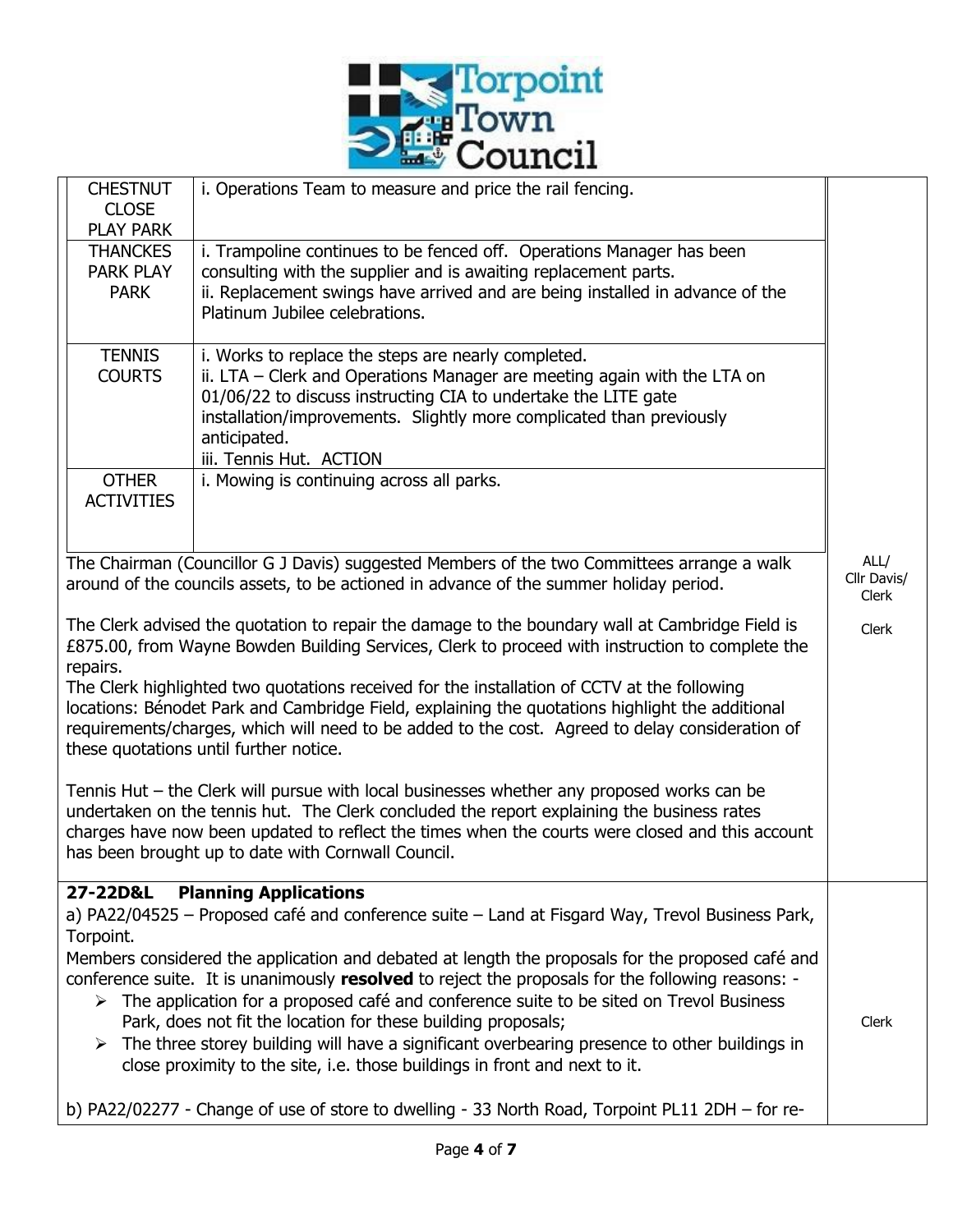

|                                                                                                                                                                                                                                                                                                                                             | <b>CHESTNUT</b><br><b>CLOSE</b><br><b>PLAY PARK</b> | i. Operations Team to measure and price the rail fencing.                                                                                                                                                                                                                                                                                                                                                                                                                                                                                                                         |       |  |  |  |
|---------------------------------------------------------------------------------------------------------------------------------------------------------------------------------------------------------------------------------------------------------------------------------------------------------------------------------------------|-----------------------------------------------------|-----------------------------------------------------------------------------------------------------------------------------------------------------------------------------------------------------------------------------------------------------------------------------------------------------------------------------------------------------------------------------------------------------------------------------------------------------------------------------------------------------------------------------------------------------------------------------------|-------|--|--|--|
|                                                                                                                                                                                                                                                                                                                                             | <b>THANCKES</b><br><b>PARK PLAY</b><br><b>PARK</b>  | i. Trampoline continues to be fenced off. Operations Manager has been<br>consulting with the supplier and is awaiting replacement parts.<br>ii. Replacement swings have arrived and are being installed in advance of the<br>Platinum Jubilee celebrations.                                                                                                                                                                                                                                                                                                                       |       |  |  |  |
|                                                                                                                                                                                                                                                                                                                                             | <b>TENNIS</b><br><b>COURTS</b>                      | i. Works to replace the steps are nearly completed.<br>ii. LTA – Clerk and Operations Manager are meeting again with the LTA on<br>01/06/22 to discuss instructing CIA to undertake the LITE gate<br>installation/improvements. Slightly more complicated than previously<br>anticipated.<br>iii. Tennis Hut. ACTION                                                                                                                                                                                                                                                              |       |  |  |  |
|                                                                                                                                                                                                                                                                                                                                             | <b>OTHER</b><br><b>ACTIVITIES</b>                   | i. Mowing is continuing across all parks.                                                                                                                                                                                                                                                                                                                                                                                                                                                                                                                                         |       |  |  |  |
| The Chairman (Councillor G J Davis) suggested Members of the two Committees arrange a walk<br>ALL/<br>Cllr Davis/<br>around of the councils assets, to be actioned in advance of the summer holiday period.<br>Clerk                                                                                                                        |                                                     |                                                                                                                                                                                                                                                                                                                                                                                                                                                                                                                                                                                   |       |  |  |  |
| The Clerk advised the quotation to repair the damage to the boundary wall at Cambridge Field is<br>Clerk<br>£875.00, from Wayne Bowden Building Services, Clerk to proceed with instruction to complete the<br>repairs.                                                                                                                     |                                                     |                                                                                                                                                                                                                                                                                                                                                                                                                                                                                                                                                                                   |       |  |  |  |
| The Clerk highlighted two quotations received for the installation of CCTV at the following<br>locations: Bénodet Park and Cambridge Field, explaining the quotations highlight the additional<br>requirements/charges, which will need to be added to the cost. Agreed to delay consideration of<br>these quotations until further notice. |                                                     |                                                                                                                                                                                                                                                                                                                                                                                                                                                                                                                                                                                   |       |  |  |  |
|                                                                                                                                                                                                                                                                                                                                             |                                                     | Tennis Hut – the Clerk will pursue with local businesses whether any proposed works can be<br>undertaken on the tennis hut. The Clerk concluded the report explaining the business rates<br>charges have now been updated to reflect the times when the courts were closed and this account<br>has been brought up to date with Cornwall Council.                                                                                                                                                                                                                                 |       |  |  |  |
|                                                                                                                                                                                                                                                                                                                                             | 27-22D&L<br>Torpoint.                               | <b>Planning Applications</b><br>a) PA22/04525 - Proposed café and conference suite - Land at Fisgard Way, Trevol Business Park,                                                                                                                                                                                                                                                                                                                                                                                                                                                   |       |  |  |  |
|                                                                                                                                                                                                                                                                                                                                             |                                                     | Members considered the application and debated at length the proposals for the proposed café and<br>conference suite. It is unanimously resolved to reject the proposals for the following reasons: -<br>$\triangleright$ The application for a proposed café and conference suite to be sited on Trevol Business<br>Park, does not fit the location for these building proposals;<br>$\triangleright$ The three storey building will have a significant overbearing presence to other buildings in<br>close proximity to the site, i.e. those buildings in front and next to it. | Clerk |  |  |  |
| b) PA22/02277 - Change of use of store to dwelling - 33 North Road, Torpoint PL11 2DH - for re-                                                                                                                                                                                                                                             |                                                     |                                                                                                                                                                                                                                                                                                                                                                                                                                                                                                                                                                                   |       |  |  |  |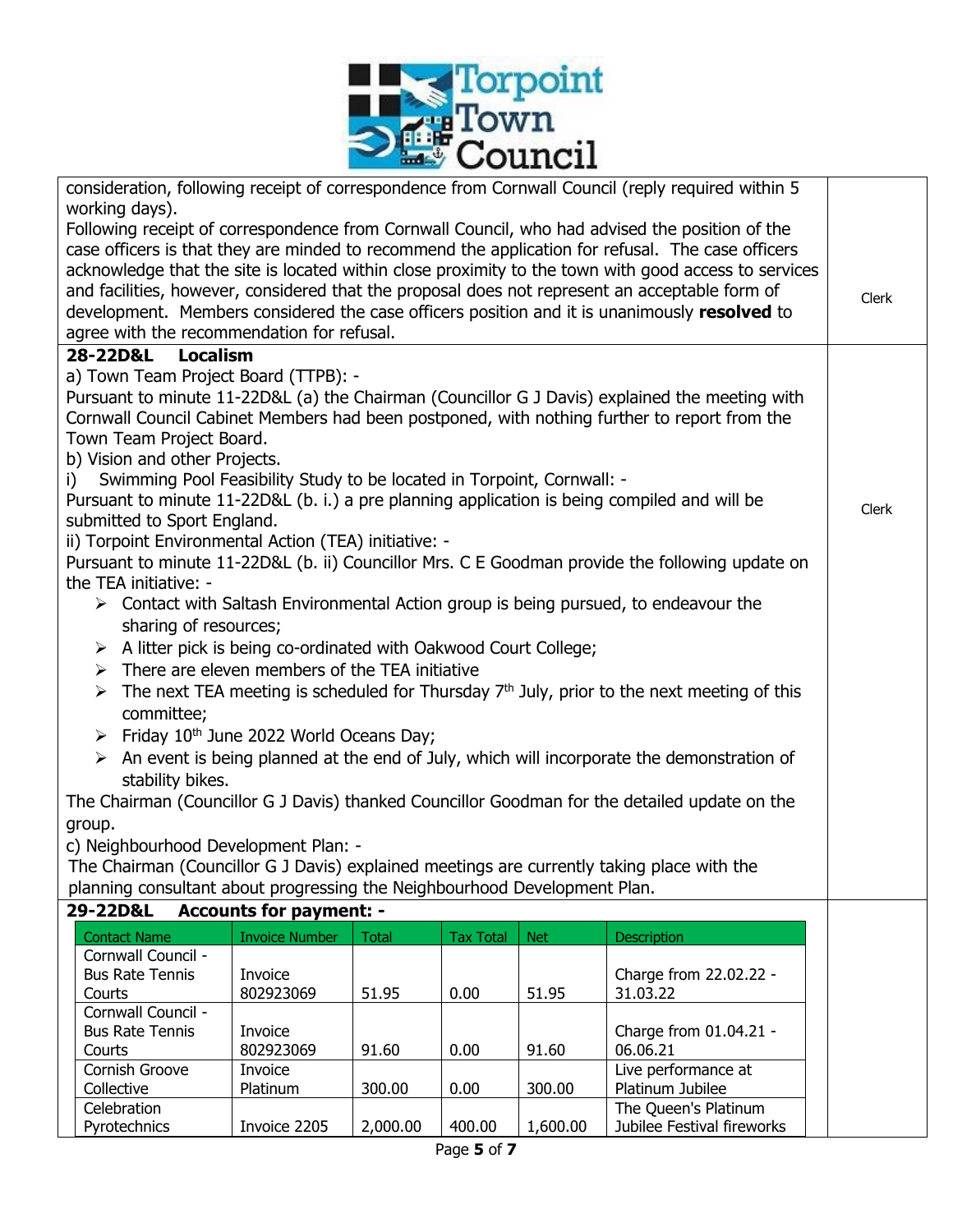

| consideration, following receipt of correspondence from Cornwall Council (reply required within 5                                                                                                         |                                |              |                  |            |                                                                                                            |       |  |
|-----------------------------------------------------------------------------------------------------------------------------------------------------------------------------------------------------------|--------------------------------|--------------|------------------|------------|------------------------------------------------------------------------------------------------------------|-------|--|
| working days).                                                                                                                                                                                            |                                |              |                  |            |                                                                                                            |       |  |
|                                                                                                                                                                                                           |                                |              |                  |            | Following receipt of correspondence from Cornwall Council, who had advised the position of the             |       |  |
| case officers is that they are minded to recommend the application for refusal. The case officers<br>acknowledge that the site is located within close proximity to the town with good access to services |                                |              |                  |            |                                                                                                            |       |  |
| and facilities, however, considered that the proposal does not represent an acceptable form of                                                                                                            |                                |              |                  |            |                                                                                                            |       |  |
| development. Members considered the case officers position and it is unanimously resolved to                                                                                                              |                                |              |                  |            |                                                                                                            |       |  |
| agree with the recommendation for refusal.                                                                                                                                                                |                                |              |                  |            |                                                                                                            |       |  |
| 28-22D&L<br><b>Localism</b>                                                                                                                                                                               |                                |              |                  |            |                                                                                                            |       |  |
| a) Town Team Project Board (TTPB): -                                                                                                                                                                      |                                |              |                  |            |                                                                                                            |       |  |
|                                                                                                                                                                                                           |                                |              |                  |            | Pursuant to minute 11-22D&L (a) the Chairman (Councillor G J Davis) explained the meeting with             |       |  |
|                                                                                                                                                                                                           |                                |              |                  |            | Cornwall Council Cabinet Members had been postponed, with nothing further to report from the               |       |  |
| Town Team Project Board.                                                                                                                                                                                  |                                |              |                  |            |                                                                                                            |       |  |
| b) Vision and other Projects.                                                                                                                                                                             |                                |              |                  |            |                                                                                                            |       |  |
| Swimming Pool Feasibility Study to be located in Torpoint, Cornwall: -<br>i)                                                                                                                              |                                |              |                  |            |                                                                                                            |       |  |
| Pursuant to minute 11-22D&L (b. i.) a pre planning application is being compiled and will be                                                                                                              |                                |              |                  |            |                                                                                                            | Clerk |  |
| submitted to Sport England.                                                                                                                                                                               |                                |              |                  |            |                                                                                                            |       |  |
| ii) Torpoint Environmental Action (TEA) initiative: -                                                                                                                                                     |                                |              |                  |            |                                                                                                            |       |  |
| the TEA initiative: -                                                                                                                                                                                     |                                |              |                  |            | Pursuant to minute 11-22D&L (b. ii) Councillor Mrs. C E Goodman provide the following update on            |       |  |
|                                                                                                                                                                                                           |                                |              |                  |            | $\triangleright$ Contact with Saltash Environmental Action group is being pursued, to endeavour the        |       |  |
| sharing of resources;                                                                                                                                                                                     |                                |              |                  |            |                                                                                                            |       |  |
| $\triangleright$ A litter pick is being co-ordinated with Oakwood Court College;                                                                                                                          |                                |              |                  |            |                                                                                                            |       |  |
| $\triangleright$ There are eleven members of the TEA initiative                                                                                                                                           |                                |              |                  |            |                                                                                                            |       |  |
|                                                                                                                                                                                                           |                                |              |                  |            |                                                                                                            |       |  |
| $\triangleright$ The next TEA meeting is scheduled for Thursday 7 <sup>th</sup> July, prior to the next meeting of this<br>committee;                                                                     |                                |              |                  |            |                                                                                                            |       |  |
| $\triangleright$ Friday 10 <sup>th</sup> June 2022 World Oceans Day;                                                                                                                                      |                                |              |                  |            |                                                                                                            |       |  |
|                                                                                                                                                                                                           |                                |              |                  |            | $\triangleright$ An event is being planned at the end of July, which will incorporate the demonstration of |       |  |
|                                                                                                                                                                                                           |                                |              |                  |            |                                                                                                            |       |  |
| stability bikes.                                                                                                                                                                                          |                                |              |                  |            |                                                                                                            |       |  |
| The Chairman (Councillor G J Davis) thanked Councillor Goodman for the detailed update on the                                                                                                             |                                |              |                  |            |                                                                                                            |       |  |
| group.                                                                                                                                                                                                    |                                |              |                  |            |                                                                                                            |       |  |
| c) Neighbourhood Development Plan: -<br>The Chairman (Councillor G J Davis) explained meetings are currently taking place with the                                                                        |                                |              |                  |            |                                                                                                            |       |  |
| planning consultant about progressing the Neighbourhood Development Plan.                                                                                                                                 |                                |              |                  |            |                                                                                                            |       |  |
| 29-22D&L                                                                                                                                                                                                  | <b>Accounts for payment: -</b> |              |                  |            |                                                                                                            |       |  |
| <b>Contact Name</b>                                                                                                                                                                                       | <b>Invoice Number</b>          | <b>Total</b> | <b>Tax Total</b> | <b>Net</b> | <b>Description</b>                                                                                         |       |  |
| Cornwall Council -                                                                                                                                                                                        |                                |              |                  |            |                                                                                                            |       |  |
| <b>Bus Rate Tennis</b>                                                                                                                                                                                    | Invoice                        |              |                  |            | Charge from 22.02.22 -                                                                                     |       |  |
| Courts                                                                                                                                                                                                    | 802923069                      | 51.95        | 0.00             | 51.95      | 31.03.22                                                                                                   |       |  |
| Cornwall Council -                                                                                                                                                                                        |                                |              |                  |            |                                                                                                            |       |  |
| <b>Bus Rate Tennis</b>                                                                                                                                                                                    | Invoice                        |              |                  |            | Charge from 01.04.21 -                                                                                     |       |  |
| Courts<br>Cornish Groove                                                                                                                                                                                  | 802923069<br>Invoice           | 91.60        | 0.00             | 91.60      | 06.06.21<br>Live performance at                                                                            |       |  |
| Collective                                                                                                                                                                                                | Platinum                       | 300.00       | 0.00             | 300.00     | Platinum Jubilee                                                                                           |       |  |
| The Queen's Platinum<br>Celebration                                                                                                                                                                       |                                |              |                  |            |                                                                                                            |       |  |
| Pyrotechnics                                                                                                                                                                                              | Invoice 2205                   | 2,000.00     | 400.00           | 1,600.00   | Jubilee Festival fireworks                                                                                 |       |  |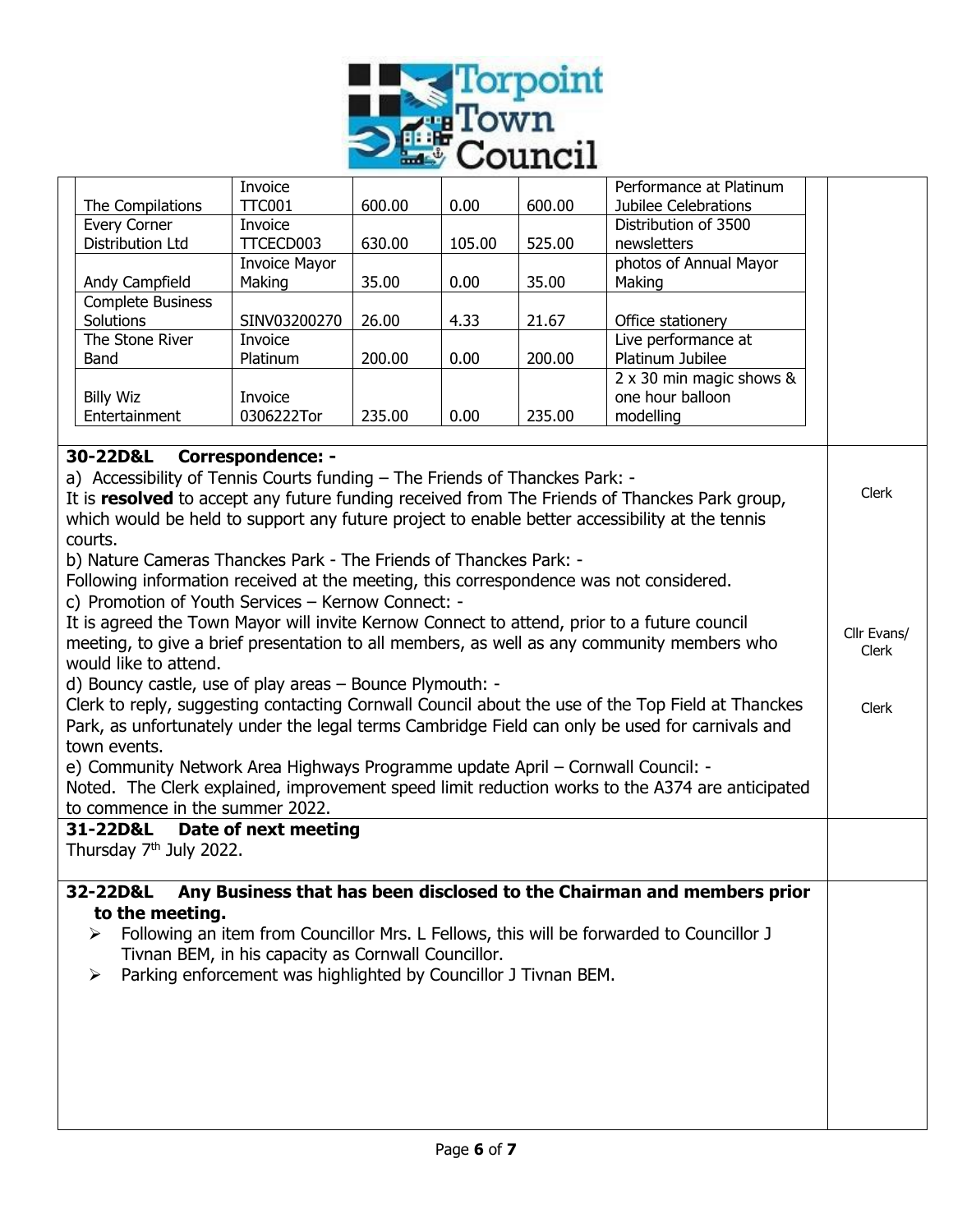

|                                                                      |                                                                                                                     | Invoice              |        |        |        | Performance at Platinum                                                                           |             |
|----------------------------------------------------------------------|---------------------------------------------------------------------------------------------------------------------|----------------------|--------|--------|--------|---------------------------------------------------------------------------------------------------|-------------|
|                                                                      | The Compilations                                                                                                    | <b>TTC001</b>        | 600.00 | 0.00   | 600.00 | Jubilee Celebrations                                                                              |             |
|                                                                      | <b>Every Corner</b>                                                                                                 | Invoice              |        |        |        | Distribution of 3500                                                                              |             |
|                                                                      | Distribution Ltd                                                                                                    | TTCECD003            | 630.00 | 105.00 | 525.00 | newsletters                                                                                       |             |
|                                                                      |                                                                                                                     | <b>Invoice Mayor</b> |        |        |        | photos of Annual Mayor                                                                            |             |
|                                                                      | Andy Campfield                                                                                                      | Making               | 35.00  | 0.00   | 35.00  | Making                                                                                            |             |
|                                                                      | <b>Complete Business</b>                                                                                            |                      |        |        |        |                                                                                                   |             |
|                                                                      | Solutions                                                                                                           | SINV03200270         | 26.00  | 4.33   | 21.67  | Office stationery                                                                                 |             |
|                                                                      | The Stone River                                                                                                     | Invoice              |        |        |        | Live performance at                                                                               |             |
|                                                                      | Band                                                                                                                | Platinum             | 200.00 | 0.00   | 200.00 | Platinum Jubilee                                                                                  |             |
|                                                                      |                                                                                                                     |                      |        |        |        | 2 x 30 min magic shows &                                                                          |             |
|                                                                      | <b>Billy Wiz</b>                                                                                                    | Invoice              |        |        |        | one hour balloon                                                                                  |             |
|                                                                      | Entertainment                                                                                                       | 0306222Tor           | 235.00 | 0.00   | 235.00 | modelling                                                                                         |             |
|                                                                      |                                                                                                                     |                      |        |        |        |                                                                                                   |             |
|                                                                      | 30-22D&L<br><b>Correspondence: -</b><br>a) Accessibility of Tennis Courts funding - The Friends of Thanckes Park: - |                      |        |        |        |                                                                                                   |             |
|                                                                      |                                                                                                                     |                      |        |        |        | It is resolved to accept any future funding received from The Friends of Thanckes Park group,     | Clerk       |
|                                                                      |                                                                                                                     |                      |        |        |        | which would be held to support any future project to enable better accessibility at the tennis    |             |
|                                                                      | courts.                                                                                                             |                      |        |        |        |                                                                                                   |             |
|                                                                      | b) Nature Cameras Thanckes Park - The Friends of Thanckes Park: -                                                   |                      |        |        |        |                                                                                                   |             |
|                                                                      |                                                                                                                     |                      |        |        |        |                                                                                                   |             |
|                                                                      | Following information received at the meeting, this correspondence was not considered.                              |                      |        |        |        |                                                                                                   |             |
|                                                                      | c) Promotion of Youth Services - Kernow Connect: -                                                                  |                      |        |        |        |                                                                                                   |             |
|                                                                      | It is agreed the Town Mayor will invite Kernow Connect to attend, prior to a future council                         |                      |        |        |        |                                                                                                   | Cllr Evans/ |
|                                                                      |                                                                                                                     |                      |        |        |        | meeting, to give a brief presentation to all members, as well as any community members who        | Clerk       |
| would like to attend.                                                |                                                                                                                     |                      |        |        |        |                                                                                                   |             |
| d) Bouncy castle, use of play areas - Bounce Plymouth: -             |                                                                                                                     |                      |        |        |        |                                                                                                   |             |
|                                                                      |                                                                                                                     |                      |        |        |        | Clerk to reply, suggesting contacting Cornwall Council about the use of the Top Field at Thanckes | Clerk       |
|                                                                      |                                                                                                                     |                      |        |        |        | Park, as unfortunately under the legal terms Cambridge Field can only be used for carnivals and   |             |
|                                                                      | town events.                                                                                                        |                      |        |        |        |                                                                                                   |             |
|                                                                      | e) Community Network Area Highways Programme update April - Cornwall Council: -                                     |                      |        |        |        |                                                                                                   |             |
|                                                                      |                                                                                                                     |                      |        |        |        |                                                                                                   |             |
|                                                                      |                                                                                                                     |                      |        |        |        | Noted. The Clerk explained, improvement speed limit reduction works to the A374 are anticipated   |             |
|                                                                      | to commence in the summer 2022.                                                                                     |                      |        |        |        |                                                                                                   |             |
|                                                                      | 31-22D&L                                                                                                            | Date of next meeting |        |        |        |                                                                                                   |             |
|                                                                      | Thursday 7 <sup>th</sup> July 2022.                                                                                 |                      |        |        |        |                                                                                                   |             |
|                                                                      |                                                                                                                     |                      |        |        |        |                                                                                                   |             |
|                                                                      | 32-22D&L                                                                                                            |                      |        |        |        | Any Business that has been disclosed to the Chairman and members prior                            |             |
|                                                                      | to the meeting.                                                                                                     |                      |        |        |        |                                                                                                   |             |
|                                                                      | ➤                                                                                                                   |                      |        |        |        | Following an item from Councillor Mrs. L Fellows, this will be forwarded to Councillor J          |             |
| Tivnan BEM, in his capacity as Cornwall Councillor.                  |                                                                                                                     |                      |        |        |        |                                                                                                   |             |
| Parking enforcement was highlighted by Councillor J Tivnan BEM.<br>➤ |                                                                                                                     |                      |        |        |        |                                                                                                   |             |
|                                                                      |                                                                                                                     |                      |        |        |        |                                                                                                   |             |
|                                                                      |                                                                                                                     |                      |        |        |        |                                                                                                   |             |
|                                                                      |                                                                                                                     |                      |        |        |        |                                                                                                   |             |
|                                                                      |                                                                                                                     |                      |        |        |        |                                                                                                   |             |
|                                                                      |                                                                                                                     |                      |        |        |        |                                                                                                   |             |
|                                                                      |                                                                                                                     |                      |        |        |        |                                                                                                   |             |
|                                                                      |                                                                                                                     |                      |        |        |        |                                                                                                   |             |